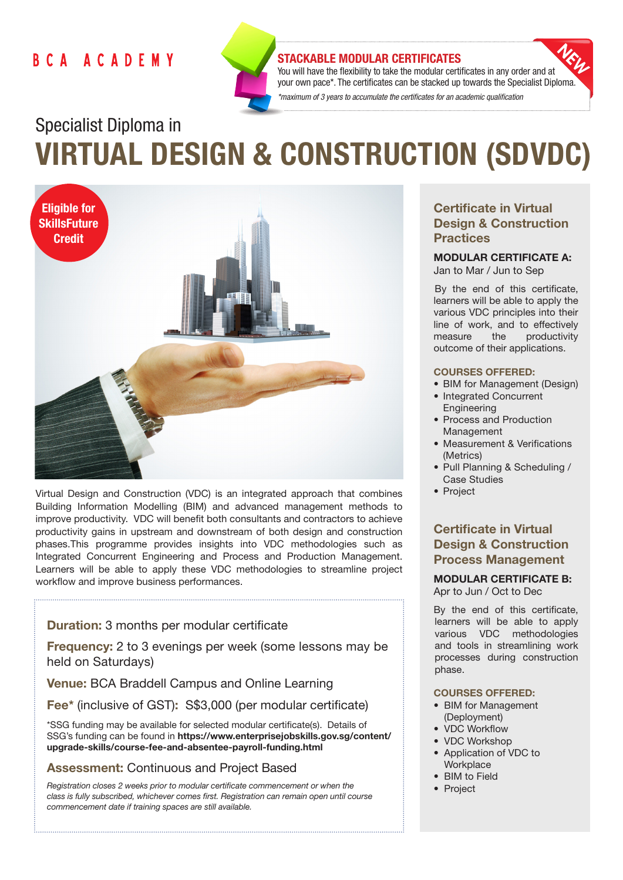## BCA ACADEMY



## STACKABLE MODULAR CERTIFICATES

You will have the flexibility to take the modular certificates in any order and at your own pace\*. The certificates can be stacked up towards the Specialist Diploma. *\*maximum of 3 years to accumulate the certificates for an academic qualification* 

# Specialist Diploma in VIRTUAL DESIGN & CONSTRUCTION (SDVDC)



Virtual Design and Construction (VDC) is an integrated approach that combines Building Information Modelling (BIM) and advanced management methods to improve productivity. VDC will benefit both consultants and contractors to achieve productivity gains in upstream and downstream of both design and construction phases.This programme provides insights into VDC methodologies such as Integrated Concurrent Engineering and Process and Production Management. Learners will be able to apply these VDC methodologies to streamline project workflow and improve business performances.

## Duration: 3 months per modular certificate

Frequency: 2 to 3 evenings per week (some lessons may be held on Saturdays)

Venue: BCA Braddell Campus and Online Learning

Fee\* (inclusive of GST): S\$3,000 (per modular certificate)

\*SSG funding may be available for selected modular certificate(s). Details of SSG's funding can be found in https://www.enterprisejobskills.gov.sg/content/ upgrade-skills/course-fee-and-absentee-payroll-funding.html

## Assessment: Continuous and Project Based

*Registration closes 2 weeks prior to modular certificate commencement or when the class is fully subscribed, whichever comes first. Registration can remain open until course commencement date if training spaces are still available.*

## Certificate in Virtual Design & Construction **Practices**

### MODULAR CERTIFICATE A: Jan to Mar / Jun to Sep

By the end of this certificate, learners will be able to apply the various VDC principles into their line of work, and to effectively measure the productivity outcome of their applications.

#### COURSES OFFERED:

- BIM for Management (Design)
- Integrated Concurrent Engineering
- Process and Production Management
- Measurement & Verifications (Metrics)
- Pull Planning & Scheduling / Case Studies
- Project

## Certificate in Virtual Design & Construction Process Management

MODULAR CERTIFICATE B: Apr to Jun / Oct to Dec

By the end of this certificate, learners will be able to apply various VDC methodologies and tools in streamlining work processes during construction phase.

### COURSES OFFERED:

- BIM for Management (Deployment)
- VDC Workflow
- VDC Workshop
- Application of VDC to **Workplace**
- BIM to Field
- Project